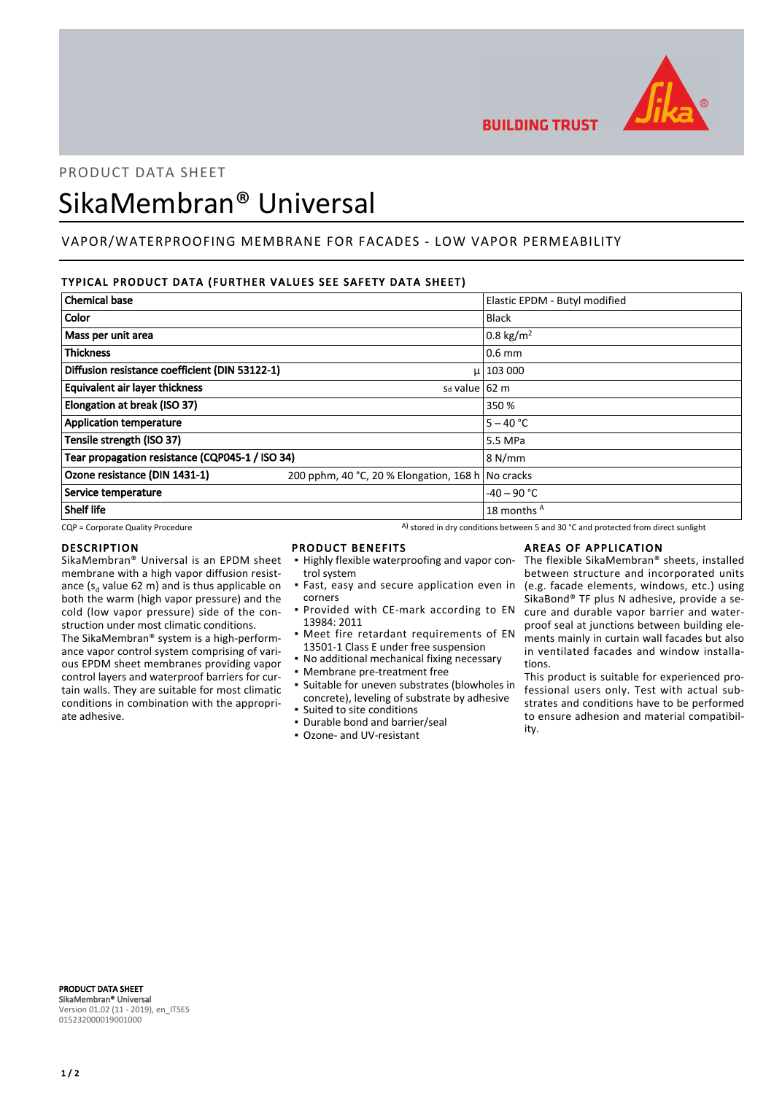

**BUILDING TRUST** 

PRODUCT DATA SHEET

# SikaMembran® Universal

# VAPOR/WATERPROOFING MEMBRANE FOR FACADES - LOW VAPOR PERMEABILITY

## TYPICAL PRODUCT DATA (FURTHER VALUES SEE SAFETY DATA SHEET)

| <b>Chemical base</b>                            |                                                   | Elastic EPDM - Butyl modified |
|-------------------------------------------------|---------------------------------------------------|-------------------------------|
| Color                                           |                                                   | <b>Black</b>                  |
| Mass per unit area                              |                                                   | $0.8 \text{ kg/m}^2$          |
| <b>Thickness</b>                                |                                                   | $0.6$ mm                      |
| Diffusion resistance coefficient (DIN 53122-1)  |                                                   | $\mu$   103 000               |
| <b>Equivalent air layer thickness</b>           | s <sub>d</sub> value 62 m                         |                               |
| Elongation at break (ISO 37)                    |                                                   | 350 %                         |
| <b>Application temperature</b>                  |                                                   | $5 - 40 °C$                   |
| Tensile strength (ISO 37)                       |                                                   | 5.5 MPa                       |
| Tear propagation resistance (CQP045-1 / ISO 34) |                                                   | 8 N/mm                        |
| Ozone resistance (DIN 1431-1)                   | 200 pphm, 40 °C, 20 % Elongation, 168 h No cracks |                               |
| Service temperature                             |                                                   | $-40 - 90$ °C                 |
| <b>Shelf life</b>                               |                                                   | 18 months A                   |

 $CQP$  = Corporate Quality Procedure  $A)$  stored in dry conditions between 5 and 30 °C and protected from direct sunlight

#### DESCRIPTION

SikaMembran® Universal is an EPDM sheet membrane with a high vapor diffusion resistance ( $s_d$  value 62 m) and is thus applicable on both the warm (high vapor pressure) and the cold (low vapor pressure) side of the construction under most climatic conditions.

The SikaMembran® system is a high-performance vapor control system comprising of various EPDM sheet membranes providing vapor control layers and waterproof barriers for curtain walls. They are suitable for most climatic conditions in combination with the appropriate adhesive.

## PRODUCT BENEFITS

- **.** Highly flexible waterproofing and vapor control system
- **·** Fast, easy and secure application even in corners
- **Provided with CE-mark according to EN** 13984: 2011
- **•** Meet fire retardant requirements of EN 13501-1 Class E under free suspension
- No additional mechanical fixing necessary
- Membrane pre-treatment free
- Suitable for uneven substrates (blowholes in concrete), leveling of substrate by adhesive ▪ Suited to site conditions
- Durable bond and barrier/seal
- Ozone- and UV-resistant

## AREAS OF APPLICATION

The flexible SikaMembran® sheets, installed between structure and incorporated units (e.g. facade elements, windows, etc.) using SikaBond® TF plus N adhesive, provide a secure and durable vapor barrier and waterproof seal at junctions between building elements mainly in curtain wall facades but also in ventilated facades and window installations.

This product is suitable for experienced professional users only. Test with actual substrates and conditions have to be performed to ensure adhesion and material compatibility.

PRODUCT DATA SHEET SikaMembran® Universal Version 01.02 (11 - 2019), en\_ITSES 015232000019001000